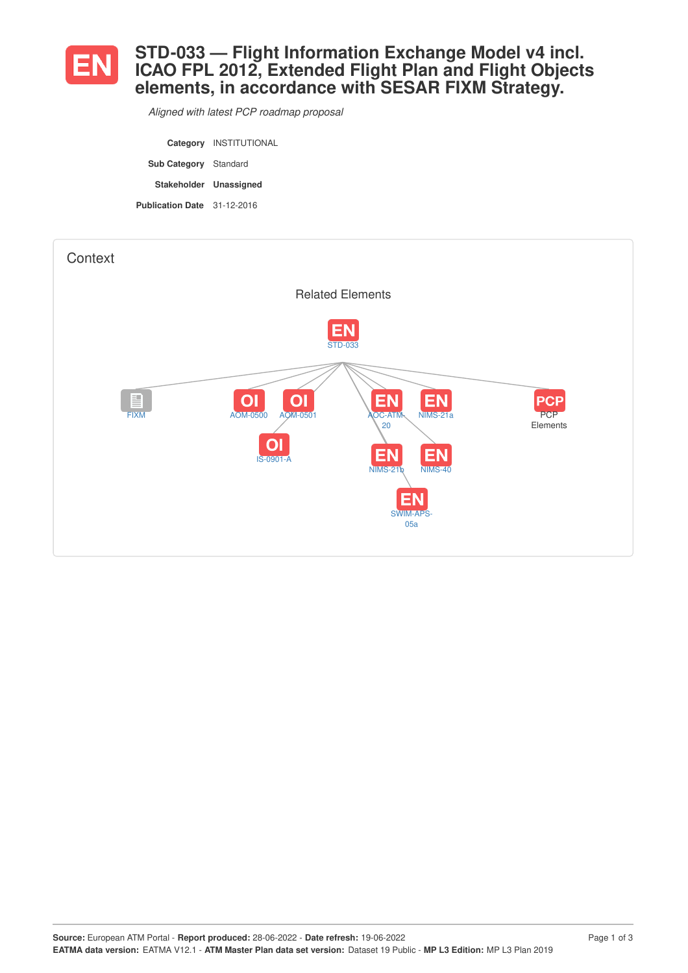

## **STD-033 — Flight Information Exchange Model v4 incl. ICAO FPL 2012, Extended Flight Plan and Flight Objects elements, in accordance with SESAR FIXM Strategy.**

*Aligned with latest PCP roadmap proposal*

|                              | Category INSTITUTIONAL |
|------------------------------|------------------------|
| <b>Sub Category</b> Standard |                        |
|                              |                        |
| Stakeholder Unassigned       |                        |

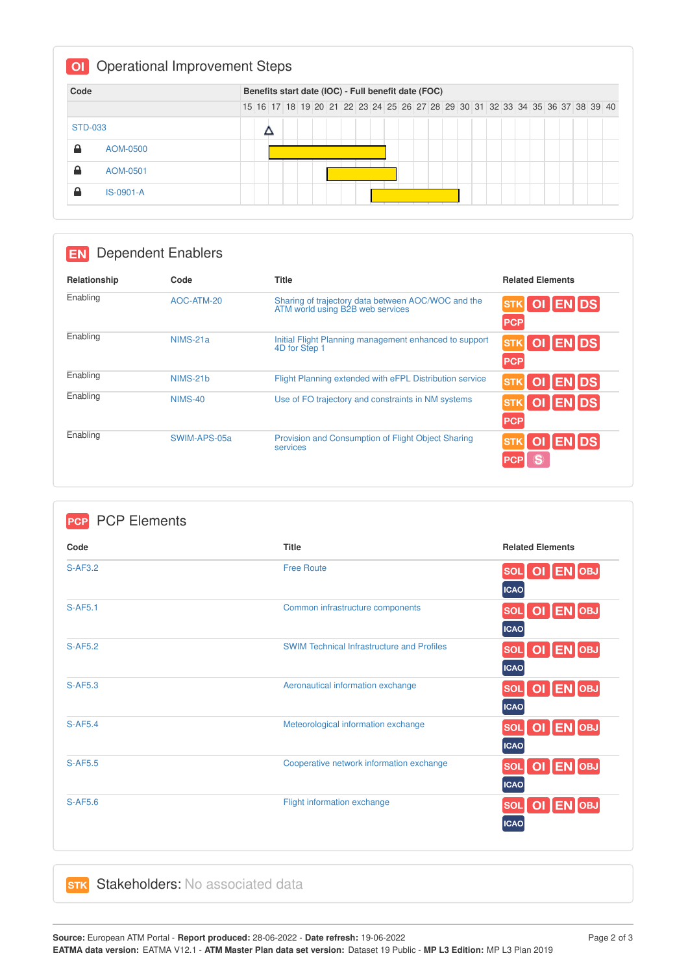| Code           |             |  |  | Benefits start date (IOC) - Full benefit date (FOC)                           |  |  |  |  |  |  |  |  |  |
|----------------|-------------|--|--|-------------------------------------------------------------------------------|--|--|--|--|--|--|--|--|--|
|                |             |  |  | 15 16 17 18 19 20 21 22 23 24 25 26 27 28 29 30 31 32 33 34 35 36 37 38 39 40 |  |  |  |  |  |  |  |  |  |
| <b>STD-033</b> |             |  |  |                                                                               |  |  |  |  |  |  |  |  |  |
| 숌              | AOM-0500    |  |  |                                                                               |  |  |  |  |  |  |  |  |  |
| ≙              | AOM-0501    |  |  |                                                                               |  |  |  |  |  |  |  |  |  |
| ≙              | $IS-0901-A$ |  |  |                                                                               |  |  |  |  |  |  |  |  |  |

| <b>Dependent Enablers</b><br>EN. |                |                                                                                     |                                               |
|----------------------------------|----------------|-------------------------------------------------------------------------------------|-----------------------------------------------|
| Relationship                     | Code           | <b>Title</b>                                                                        | <b>Related Elements</b>                       |
| Enabling                         | AOC-ATM-20     | Sharing of trajectory data between AOC/WOC and the ATM world using B2B web services | <b>ENDS</b><br><b>STK</b><br>ΟI<br><b>PCP</b> |
| Enabling                         | NIMS-21a       | Initial Flight Planning management enhanced to support<br>4D for Step 1             | OI ENDS<br><b>STK</b><br><b>PCP</b>           |
| Enabling                         | NIMS-21b       | Flight Planning extended with eFPL Distribution service                             | <b>ENDS</b><br>$\overline{O}$<br><b>STK</b>   |
| Enabling                         | <b>NIMS-40</b> | Use of FO trajectory and constraints in NM systems                                  | OI ENDS<br><b>STK</b><br><b>PCP</b>           |
| Enabling                         | SWIM-APS-05a   | Provision and Consumption of Flight Object Sharing<br>services                      | <b>IDS</b><br><b>STK</b><br><b>PCP</b>        |

| Code           | <b>Title</b>                                      | <b>Related Elements</b> |
|----------------|---------------------------------------------------|-------------------------|
| $S-AF3.2$      | <b>Free Route</b>                                 | OI EN OBJ<br><b>SOL</b> |
|                |                                                   | <b>ICAO</b>             |
| <b>S-AF5.1</b> | Common infrastructure components                  | OI EN OBJ<br><b>SOL</b> |
|                |                                                   | <b>ICAO</b>             |
| <b>S-AF5.2</b> | <b>SWIM Technical Infrastructure and Profiles</b> | SOL OI EN OBJ           |
|                |                                                   | <b>ICAO</b>             |
| <b>S-AF5.3</b> | Aeronautical information exchange                 | OI EN OBJ<br><b>SOL</b> |
|                |                                                   | <b>ICAO</b>             |
| <b>S-AF5.4</b> | Meteorological information exchange               | SOL OI EN OBJ           |
|                |                                                   | <b>ICAO</b>             |
| <b>S-AF5.5</b> | Cooperative network information exchange          | OI EN OBJ<br><b>SOL</b> |
|                |                                                   | <b>ICAO</b>             |
| S-AF5.6        | Flight information exchange                       | SOL OI EN OBJ           |
|                |                                                   | <b>ICAO</b>             |

## **STK** Stakeholders: No associated data